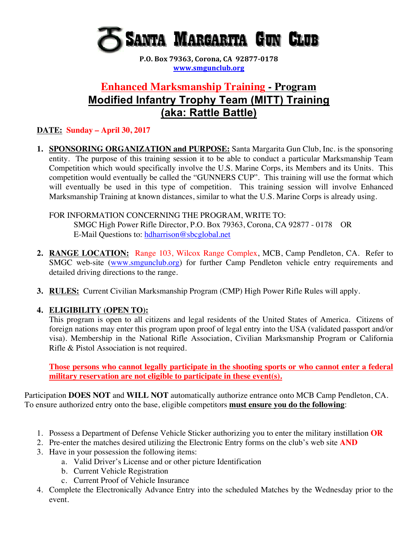

**P.O. Box 79363, Corona, CA 92877-0178 www.smgunclub.org**

# **Enhanced Marksmanship Training - Program Modified Infantry Trophy Team (MITT) Training (aka: Rattle Battle)**

### **DATE: Sunday – April 30, 2017**

**1. SPONSORING ORGANIZATION and PURPOSE:** Santa Margarita Gun Club, Inc. is the sponsoring entity. The purpose of this training session it to be able to conduct a particular Marksmanship Team Competition which would specifically involve the U.S. Marine Corps, its Members and its Units. This competition would eventually be called the "GUNNERS CUP". This training will use the format which will eventually be used in this type of competition. This training session will involve Enhanced Marksmanship Training at known distances, similar to what the U.S. Marine Corps is already using.

FOR INFORMATION CONCERNING THE PROGRAM, WRITE TO: SMGC High Power Rifle Director, P.O. Box 79363, Corona, CA 92877 - 0178 OR E-Mail Questions to: hdharrison@sbcglobal.net

- **2. RANGE LOCATION:** Range 103, Wilcox Range Complex, MCB, Camp Pendleton, CA. Refer to SMGC web-site (www.smgunclub.org) for further Camp Pendleton vehicle entry requirements and detailed driving directions to the range.
- **3. RULES:** Current Civilian Marksmanship Program (CMP) High Power Rifle Rules will apply.

### **4. ELIGIBILITY (OPEN TO):**

This program is open to all citizens and legal residents of the United States of America. Citizens of foreign nations may enter this program upon proof of legal entry into the USA (validated passport and/or visa). Membership in the National Rifle Association, Civilian Marksmanship Program or California Rifle & Pistol Association is not required.

**Those persons who cannot legally participate in the shooting sports or who cannot enter a federal military reservation are not eligible to participate in these event(s).**

Participation **DOES NOT** and **WILL NOT** automatically authorize entrance onto MCB Camp Pendleton, CA. To ensure authorized entry onto the base, eligible competitors **must ensure you do the following**:

- 1. Possess a Department of Defense Vehicle Sticker authorizing you to enter the military instillation **OR**
- 2. Pre-enter the matches desired utilizing the Electronic Entry forms on the club's web site **AND**
- 3. Have in your possession the following items:
	- a. Valid Driver's License and or other picture Identification
	- b. Current Vehicle Registration
	- c. Current Proof of Vehicle Insurance
- 4. Complete the Electronically Advance Entry into the scheduled Matches by the Wednesday prior to the event.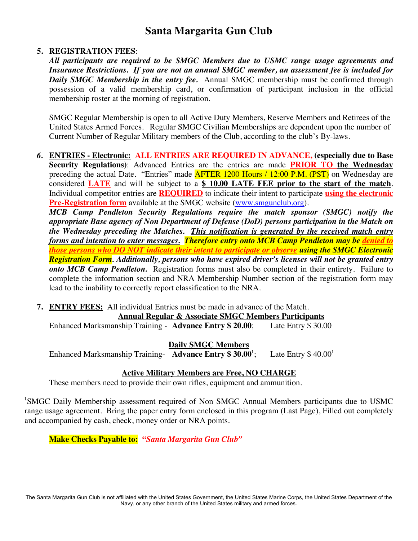### **5. REGISTRATION FEES**:

*All participants are required to be SMGC Members due to USMC range usage agreements and Insurance Restrictions. If you are not an annual SMGC member, an assessment fee is included for Daily SMGC Membership in the entry fee.* Annual SMGC membership must be confirmed through possession of a valid membership card, or confirmation of participant inclusion in the official membership roster at the morning of registration.

SMGC Regular Membership is open to all Active Duty Members, Reserve Members and Retirees of the United States Armed Forces. Regular SMGC Civilian Memberships are dependent upon the number of Current Number of Regular Military members of the Club, according to the club's By-laws.

*6.* **ENTRIES - Electronic: ALL ENTRIES ARE REQUIRED IN ADVANCE, (especially due to Base Security Regulations)**: Advanced Entries are the entries are made **PRIOR TO the Wednesday** preceding the actual Date. "Entries" made **AFTER 1200 Hours / 12:00 P.M. (PST)** on Wednesday are considered **LATE** and will be subject to a **\$ 10.00 LATE FEE prior to the start of the match**. Individual competitor entries are **REQUIRED** to indicate their intent to participate **using the electronic Pre-Registration form** available at the SMGC website (www.smgunclub.org).

*MCB Camp Pendleton Security Regulations require the match sponsor (SMGC) notify the appropriate Base agency of Non Department of Defense (DoD) persons participation in the Match on the Wednesday preceding the Matches. This notification is generated by the received match entry forms and intention to enter messages. Therefore entry onto MCB Camp Pendleton may be denied to those persons who DO NOT indicate their intent to participate or observe using the SMGC Electronic Registration Form. Additionally, persons who have expired driver's licenses will not be granted entry onto MCB Camp Pendleton.* Registration forms must also be completed in their entirety. Failure to complete the information section and NRA Membership Number section of the registration form may lead to the inability to correctly report classification to the NRA.

**7. ENTRY FEES:** All individual Entries must be made in advance of the Match.

#### **Annual Regular & Associate SMGC Members Participants**

Enhanced Marksmanship Training - **Advance Entry \$ 20.00**; Late Entry \$ 30.00

#### **Daily SMGC Members**

Enhanced Marksmanship Training- **Advance Entry \$ 30.001** ; Late Entry \$ 40.00**<sup>1</sup>**

### **Active Military Members are Free, NO CHARGE**

These members need to provide their own rifles, equipment and ammunition.

<sup>1</sup>SMGC Daily Membership assessment required of Non SMGC Annual Members participants due to USMC range usage agreement. Bring the paper entry form enclosed in this program (Last Page), Filled out completely and accompanied by cash, check, money order or NRA points.

**Make Checks Payable to: "***Santa Margarita Gun Club"*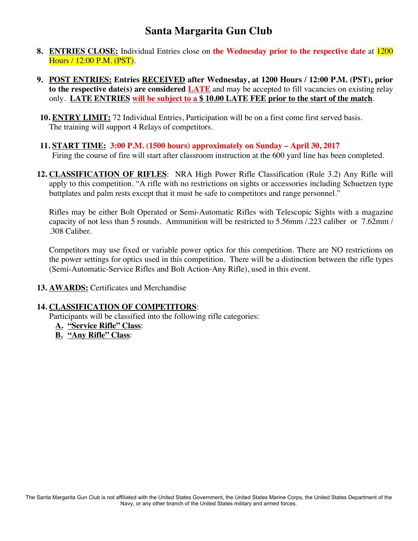- **8. ENTRIES CLOSE:** Individual Entries close on **the Wednesday prior to the respective date** at 1200 Hours / 12:00 P.M. (PST).
- **9. POST ENTRIES: Entries RECEIVED after Wednesday, at 1200 Hours / 12:00 P.M. (PST), prior to the respective date(s) are considered LATE** and may be accepted to fill vacancies on existing relay only. **LATE ENTRIES will be subject to a \$ 10.00 LATE FEE prior to the start of the match**.
- **10. ENTRY LIMIT:** 72 Individual Entries, Participation will be on a first come first served basis. The training will support 4 Relays of competitors.
- **11. START TIME: 3:00 P.M. (1500 hours) approximately on Sunday – April 30, 2017** Firing the course of fire will start after classroom instruction at the 600 yard line has been completed.
- **12. CLASSIFICATION OF RIFLES**: NRA High Power Rifle Classification (Rule 3.2) Any Rifle will apply to this competition. "A rifle with no restrictions on sights or accessories including Schuetzen type buttplates and palm rests except that it must be safe to competitors and range personnel."

Rifles may be either Bolt Operated or Semi-Automatic Rifles with Telescopic Sights with a magazine capacity of not less than 5 rounds. Ammunition will be restricted to 5.56mm /.223 caliber or 7.62mm / .308 Caliber.

Competitors may use fixed or variable power optics for this competition. There are NO restrictions on the power settings for optics used in this competition. There will be a distinction between the rifle types (Semi-Automatic-Service Rifles and Bolt Action-Any Rifle), used in this event.

**13. AWARDS:** Certificates and Merchandise

#### **14. CLASSIFICATION OF COMPETITORS**:

Participants will be classified into the following rifle categories:

- **A. "Service Rifle" Class**:
- **B. "Any Rifle" Class**: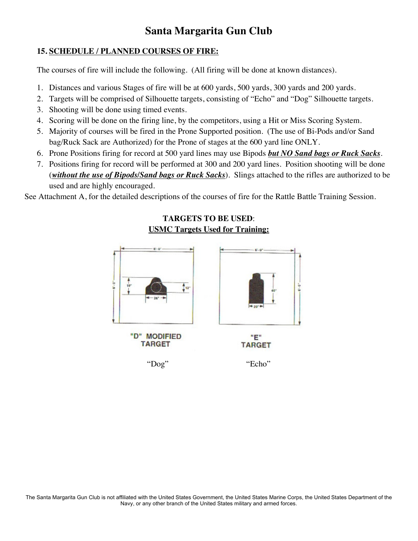### **15. SCHEDULE / PLANNED COURSES OF FIRE:**

The courses of fire will include the following. (All firing will be done at known distances).

- 1. Distances and various Stages of fire will be at 600 yards, 500 yards, 300 yards and 200 yards.
- 2. Targets will be comprised of Silhouette targets, consisting of "Echo" and "Dog" Silhouette targets.
- 3. Shooting will be done using timed events.
- 4. Scoring will be done on the firing line, by the competitors, using a Hit or Miss Scoring System.
- 5. Majority of courses will be fired in the Prone Supported position. (The use of Bi-Pods and/or Sand bag/Ruck Sack are Authorized) for the Prone of stages at the 600 yard line ONLY.
- 6. Prone Positions firing for record at 500 yard lines may use Bipods *but NO Sand bags or Ruck Sacks*.
- 7. Positions firing for record will be performed at 300 and 200 yard lines. Position shooting will be done (*without the use of Bipods/Sand bags or Ruck Sacks*). Slings attached to the rifles are authorized to be used and are highly encouraged.

See Attachment A, for the detailed descriptions of the courses of fire for the Rattle Battle Training Session.

# **TARGETS TO BE USED**: **USMC Targets Used for Training:**  $\mathbf{1}_{12}$ "D" MODIFIED "Е" **TARGET TARGET** "Dog" "Echo"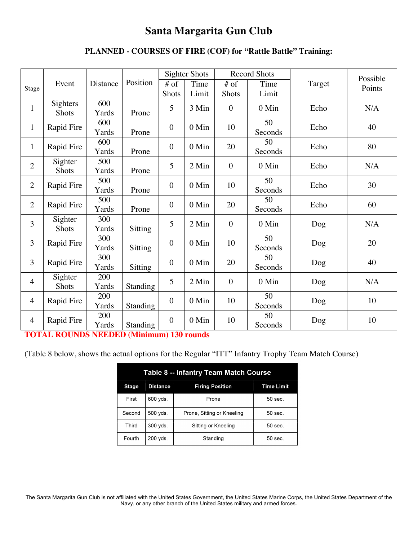### **PLANNED - COURSES OF FIRE (COF) for "Rattle Battle" Training:**

|                |                  |              |                |                  | <b>Sighter Shots</b> |                  | <b>Record Shots</b> |        | Possible |
|----------------|------------------|--------------|----------------|------------------|----------------------|------------------|---------------------|--------|----------|
| Stage          | Event            | Distance     | Position       | $#$ of           | Time                 | $#$ of           | Time                | Target | Points   |
|                |                  |              |                | Shots            | Limit                | <b>Shots</b>     | Limit               |        |          |
| $\mathbf{1}$   | Sighters         | 600          |                | 5                | 3 Min                | $\mathbf{0}$     | 0 Min               | Echo   | N/A      |
|                | Shots            | Yards        | Prone          |                  |                      |                  |                     |        |          |
| $\mathbf{1}$   | Rapid Fire       | 600          |                | $\overline{0}$   | 0 Min                | 10               | 50                  | Echo   | 40       |
|                |                  | Yards        | Prone          |                  |                      |                  | Seconds             |        |          |
| $\mathbf{1}$   | Rapid Fire       | 600          |                | $\mathbf{0}$     | 0 Min                | 20               | 50                  | Echo   | 80       |
|                |                  | Yards        | Prone          |                  |                      |                  | Seconds             |        |          |
| $\overline{2}$ | Sighter          | 500          |                | 5                | 2 Min                | $\mathbf{0}$     | 0 Min               | Echo   | N/A      |
|                | <b>Shots</b>     | Yards        | Prone          |                  |                      |                  |                     |        |          |
| $\overline{2}$ | Rapid Fire       | 500          |                | $\mathbf{0}$     | 0 Min                | 10               | 50                  | Echo   | 30       |
|                |                  | Yards        | Prone          |                  |                      |                  | Seconds             |        |          |
| $\overline{2}$ | Rapid Fire       | 500          |                | $\overline{0}$   | $0$ Min              | 20               | 50                  | Echo   | 60       |
|                |                  | Yards<br>300 | Prone          |                  |                      |                  | Seconds             |        |          |
| 3              | Sighter<br>Shots | Yards        |                | 5                | 2 Min                | $\overline{0}$   | 0 Min               | Dog    | N/A      |
|                |                  | 300          | <b>Sitting</b> |                  |                      |                  | 50                  |        |          |
| 3              | Rapid Fire       | Yards        | <b>Sitting</b> | $\overline{0}$   | $0$ Min              | 10               | Seconds             | Dog    | 20       |
|                |                  | 300          |                |                  |                      |                  | 50                  |        |          |
| 3              | Rapid Fire       | Yards        | <b>Sitting</b> | $\overline{0}$   | 0 Min                | 20               | Seconds             | Dog    | 40       |
|                | Sighter          | 200          |                |                  |                      |                  |                     |        |          |
| $\overline{4}$ | Shots            | Yards        | Standing       | 5                | 2 Min                | $\boldsymbol{0}$ | $0$ Min             | Dog    | N/A      |
|                |                  | 200          |                |                  |                      |                  | 50                  |        | 10       |
| $\overline{4}$ | Rapid Fire       | Yards        | Standing       | $\boldsymbol{0}$ | 0 Min                | 10               | Seconds             | Dog    |          |
|                |                  | 200          |                |                  |                      |                  | 50                  |        |          |
| 4              | Rapid Fire       | Yards        | Standing       | $\overline{0}$   | $0$ Min              | 10               | Seconds             | Dog    | 10       |

**TOTAL ROUNDS NEEDED (Minimum) 130 rounds**

(Table 8 below, shows the actual options for the Regular "ITT" Infantry Trophy Team Match Course)

|              |                 | Table 8 -- Infantry Team Match Course |            |
|--------------|-----------------|---------------------------------------|------------|
| <b>Stage</b> | <b>Distance</b> | <b>Firing Position</b>                | Time Limit |
| First        | $600$ yds.      | Prone                                 | $50$ sec.  |
| Second       | 500 yds.        | Prone, Sitting or Kneeling            | $50$ sec.  |
| Third        | $300$ yds.      | Sitting or Kneeling                   | $50$ sec.  |
| Fourth       | 200 vds.        | Standing                              | 50 sec.    |

The Santa Margarita Gun Club is not affiliated with the United States Government, the United States Marine Corps, the United States Department of the Navy, or any other branch of the United States military and armed forces.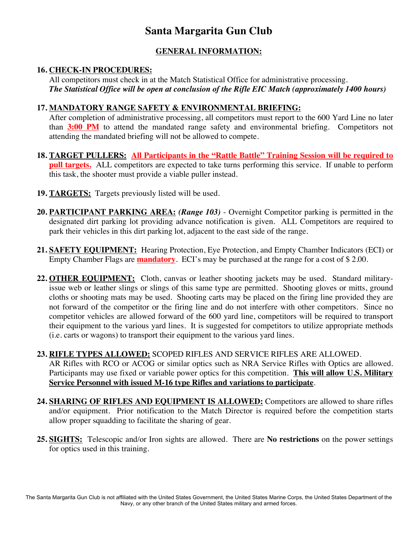### **GENERAL INFORMATION:**

### **16. CHECK-IN PROCEDURES:**

All competitors must check in at the Match Statistical Office for administrative processing. *The Statistical Office will be open at conclusion of the Rifle EIC Match (approximately 1400 hours)*

### **17. MANDATORY RANGE SAFETY & ENVIRONMENTAL BRIEFING:**

After completion of administrative processing, all competitors must report to the 600 Yard Line no later than **3:00 PM** to attend the mandated range safety and environmental briefing. Competitors not attending the mandated briefing will not be allowed to compete.

- **18. TARGET PULLERS: All Participants in the "Rattle Battle" Training Session will be required to pull targets.** ALL competitors are expected to take turns performing this service. If unable to perform this task, the shooter must provide a viable puller instead.
- **19. TARGETS:** Targets previously listed will be used.
- **20. PARTICIPANT PARKING AREA:** *(Range 103)*  Overnight Competitor parking is permitted in the designated dirt parking lot providing advance notification is given. ALL Competitors are required to park their vehicles in this dirt parking lot, adjacent to the east side of the range.
- **21. SAFETY EQUIPMENT:** Hearing Protection, Eye Protection, and Empty Chamber Indicators (ECI) or Empty Chamber Flags are **mandatory**. ECI's may be purchased at the range for a cost of \$ 2.00.
- **22. OTHER EQUIPMENT:** Cloth, canvas or leather shooting jackets may be used. Standard militaryissue web or leather slings or slings of this same type are permitted. Shooting gloves or mitts, ground cloths or shooting mats may be used. Shooting carts may be placed on the firing line provided they are not forward of the competitor or the firing line and do not interfere with other competitors. Since no competitor vehicles are allowed forward of the 600 yard line, competitors will be required to transport their equipment to the various yard lines. It is suggested for competitors to utilize appropriate methods (i.e. carts or wagons) to transport their equipment to the various yard lines.

### **23. RIFLE TYPES ALLOWED:** SCOPED RIFLES AND SERVICE RIFLES ARE ALLOWED.

AR Rifles with RCO or ACOG or similar optics such as NRA Service Rifles with Optics are allowed. Participants may use fixed or variable power optics for this competition. **This will allow U.S. Military Service Personnel with issued M-16 type Rifles and variations to participate**.

- **24. SHARING OF RIFLES AND EQUIPMENT IS ALLOWED:** Competitors are allowed to share rifles and/or equipment. Prior notification to the Match Director is required before the competition starts allow proper squadding to facilitate the sharing of gear.
- **25. SIGHTS:** Telescopic and/or Iron sights are allowed. There are **No restrictions** on the power settings for optics used in this training.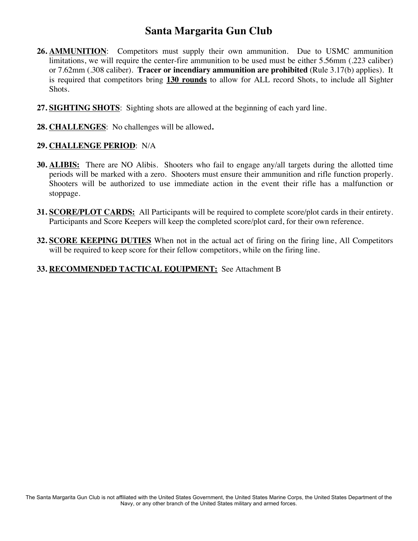- **26. AMMUNITION**: Competitors must supply their own ammunition. Due to USMC ammunition limitations, we will require the center-fire ammunition to be used must be either 5.56mm (.223 caliber) or 7.62mm (.308 caliber). **Tracer or incendiary ammunition are prohibited** (Rule 3.17(b) applies). It is required that competitors bring **130 rounds** to allow for ALL record Shots, to include all Sighter Shots.
- **27. SIGHTING SHOTS**: Sighting shots are allowed at the beginning of each yard line.
- **28. CHALLENGES**: No challenges will be allowed**.**

#### **29. CHALLENGE PERIOD**: N/A

- **30. ALIBIS:** There are NO Alibis. Shooters who fail to engage any/all targets during the allotted time periods will be marked with a zero. Shooters must ensure their ammunition and rifle function properly. Shooters will be authorized to use immediate action in the event their rifle has a malfunction or stoppage.
- **31. SCORE/PLOT CARDS:** All Participants will be required to complete score/plot cards in their entirety. Participants and Score Keepers will keep the completed score/plot card, for their own reference.
- **32. SCORE KEEPING DUTIES** When not in the actual act of firing on the firing line, All Competitors will be required to keep score for their fellow competitors, while on the firing line.

### **33. RECOMMENDED TACTICAL EQUIPMENT:** See Attachment B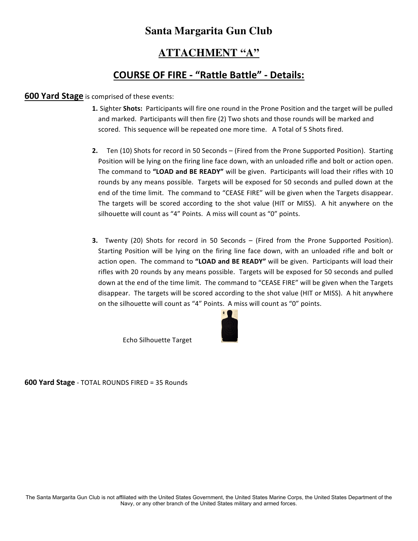### **ATTACHMENT "A"**

### **COURSE OF FIRE - "Rattle Battle" - Details:**

#### **600 Yard Stage** is comprised of these events:

- **1.** Sighter **Shots:** Participants will fire one round in the Prone Position and the target will be pulled and marked. Participants will then fire (2) Two shots and those rounds will be marked and scored. This sequence will be repeated one more time. A Total of 5 Shots fired.
- **2.** Ten (10) Shots for record in 50 Seconds (Fired from the Prone Supported Position). Starting Position will be lying on the firing line face down, with an unloaded rifle and bolt or action open. The command to "LOAD and BE READY" will be given. Participants will load their rifles with 10 rounds by any means possible. Targets will be exposed for 50 seconds and pulled down at the end of the time limit. The command to "CEASE FIRE" will be given when the Targets disappear. The targets will be scored according to the shot value (HIT or MISS). A hit anywhere on the silhouette will count as "4" Points. A miss will count as "0" points.
- **3.** Twenty (20) Shots for record in 50 Seconds (Fired from the Prone Supported Position). Starting Position will be lying on the firing line face down, with an unloaded rifle and bolt or action open. The command to "LOAD and BE READY" will be given. Participants will load their rifles with 20 rounds by any means possible. Targets will be exposed for 50 seconds and pulled down at the end of the time limit. The command to "CEASE FIRE" will be given when the Targets disappear. The targets will be scored according to the shot value (HIT or MISS). A hit anywhere on the silhouette will count as "4" Points. A miss will count as "0" points.



Echo Silhouette Target

**600 Yard Stage** - TOTAL ROUNDS FIRED = 35 Rounds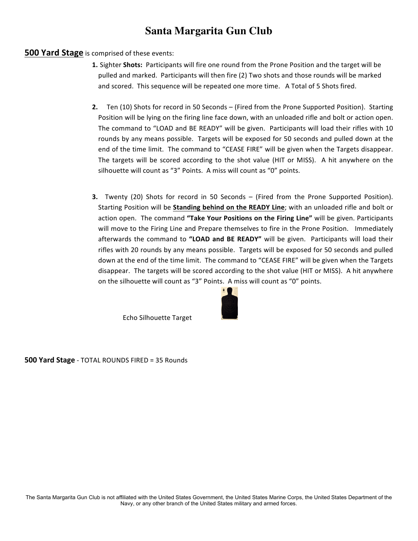#### **500 Yard Stage** is comprised of these events:

- **1.** Sighter **Shots:** Participants will fire one round from the Prone Position and the target will be pulled and marked. Participants will then fire (2) Two shots and those rounds will be marked and scored. This sequence will be repeated one more time. A Total of 5 Shots fired.
- **2.** Ten (10) Shots for record in 50 Seconds (Fired from the Prone Supported Position). Starting Position will be lying on the firing line face down, with an unloaded rifle and bolt or action open. The command to "LOAD and BE READY" will be given. Participants will load their rifles with 10 rounds by any means possible. Targets will be exposed for 50 seconds and pulled down at the end of the time limit. The command to "CEASE FIRE" will be given when the Targets disappear. The targets will be scored according to the shot value (HIT or MISS). A hit anywhere on the silhouette will count as "3" Points. A miss will count as "0" points.
- **3.** Twenty (20) Shots for record in 50 Seconds (Fired from the Prone Supported Position). Starting Position will be **Standing behind on the READY Line**; with an unloaded rifle and bolt or action open. The command "Take Your Positions on the Firing Line" will be given. Participants will move to the Firing Line and Prepare themselves to fire in the Prone Position. Immediately afterwards the command to "LOAD and BE READY" will be given. Participants will load their rifles with 20 rounds by any means possible. Targets will be exposed for 50 seconds and pulled down at the end of the time limit. The command to "CEASE FIRE" will be given when the Targets disappear. The targets will be scored according to the shot value (HIT or MISS). A hit anywhere on the silhouette will count as "3" Points. A miss will count as "0" points.



Echo Silhouette Target

**500 Yard Stage** - TOTAL ROUNDS FIRED = 35 Rounds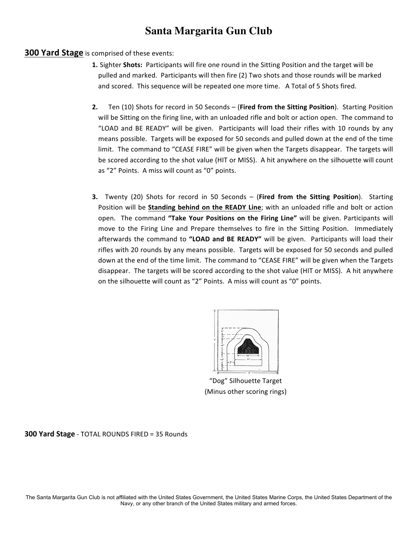#### **300 Yard Stage** is comprised of these events:

- **1.** Sighter **Shots:** Participants will fire one round in the Sitting Position and the target will be pulled and marked. Participants will then fire (2) Two shots and those rounds will be marked and scored. This sequence will be repeated one more time. A Total of 5 Shots fired.
- **2.** Ten (10) Shots for record in 50 Seconds (Fired from the Sitting Position). Starting Position will be Sitting on the firing line, with an unloaded rifle and bolt or action open. The command to "LOAD and BE READY" will be given. Participants will load their rifles with 10 rounds by any means possible. Targets will be exposed for 50 seconds and pulled down at the end of the time limit. The command to "CEASE FIRE" will be given when the Targets disappear. The targets will be scored according to the shot value (HIT or MISS). A hit anywhere on the silhouette will count as "2" Points. A miss will count as "0" points.
- **3.** Twenty (20) Shots for record in 50 Seconds (Fired from the Sitting Position). Starting Position will be **Standing behind on the READY Line**; with an unloaded rifle and bolt or action open. The command "Take Your Positions on the Firing Line" will be given. Participants will move to the Firing Line and Prepare themselves to fire in the Sitting Position. Immediately afterwards the command to "LOAD and BE READY" will be given. Participants will load their rifles with 20 rounds by any means possible. Targets will be exposed for 50 seconds and pulled down at the end of the time limit. The command to "CEASE FIRE" will be given when the Targets disappear. The targets will be scored according to the shot value (HIT or MISS). A hit anywhere on the silhouette will count as "2" Points. A miss will count as "0" points.



"Dog" Silhouette Target (Minus other scoring rings)

**300 Yard Stage** - TOTAL ROUNDS FIRED = 35 Rounds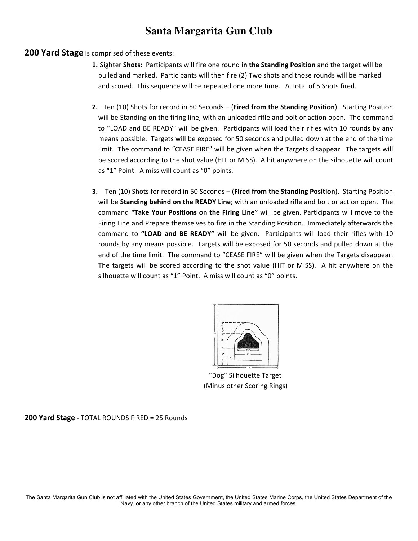#### **200 Yard Stage** is comprised of these events:

- **1.** Sighter Shots: Participants will fire one round in the Standing Position and the target will be pulled and marked. Participants will then fire (2) Two shots and those rounds will be marked and scored. This sequence will be repeated one more time. A Total of 5 Shots fired.
- **2.** Ten (10) Shots for record in 50 Seconds (Fired from the Standing Position). Starting Position will be Standing on the firing line, with an unloaded rifle and bolt or action open. The command to "LOAD and BE READY" will be given. Participants will load their rifles with 10 rounds by any means possible. Targets will be exposed for 50 seconds and pulled down at the end of the time limit. The command to "CEASE FIRE" will be given when the Targets disappear. The targets will be scored according to the shot value (HIT or MISS). A hit anywhere on the silhouette will count as "1" Point. A miss will count as "0" points.
- **3.** Ten (10) Shots for record in 50 Seconds (Fired from the Standing Position). Starting Position will be Standing behind on the READY Line; with an unloaded rifle and bolt or action open. The command "Take Your Positions on the Firing Line" will be given. Participants will move to the Firing Line and Prepare themselves to fire in the Standing Position. Immediately afterwards the command to "LOAD and BE READY" will be given. Participants will load their rifles with 10 rounds by any means possible. Targets will be exposed for 50 seconds and pulled down at the end of the time limit. The command to "CEASE FIRE" will be given when the Targets disappear. The targets will be scored according to the shot value (HIT or MISS). A hit anywhere on the silhouette will count as "1" Point. A miss will count as "0" points.



"Dog" Silhouette Target (Minus other Scoring Rings)

**200 Yard Stage** - TOTAL ROUNDS FIRED = 25 Rounds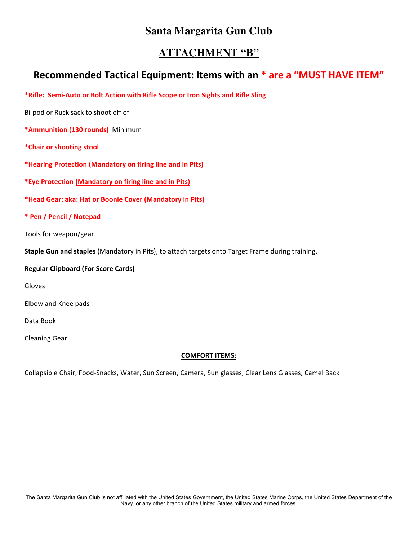### **ATTACHMENT "B"**

### **Recommended Tactical Equipment: Items with an \* are a "MUST HAVE ITEM"**

**\*Rifle: Semi-Auto or Bolt Action with Rifle Scope or Iron Sights and Rifle Sling**

Bi-pod or Ruck sack to shoot off of

**\*Ammunition (130 rounds)** Minimum

**\*Chair or shooting stool**

\*Hearing Protection (Mandatory on firing line and in Pits)

\*Eye Protection (Mandatory on firing line and in Pits)

**\*Head Gear: aka: Hat or Boonie Cover (Mandatory in Pits)** 

**\* Pen / Pencil / Notepad**

Tools for weapon/gear

**Staple Gun and staples** (Mandatory in Pits), to attach targets onto Target Frame during training.

**Regular Clipboard (For Score Cards)**

Gloves

Elbow and Knee pads

Data Book

Cleaning Gear

#### **COMFORT ITEMS:**

Collapsible Chair, Food-Snacks, Water, Sun Screen, Camera, Sun glasses, Clear Lens Glasses, Camel Back